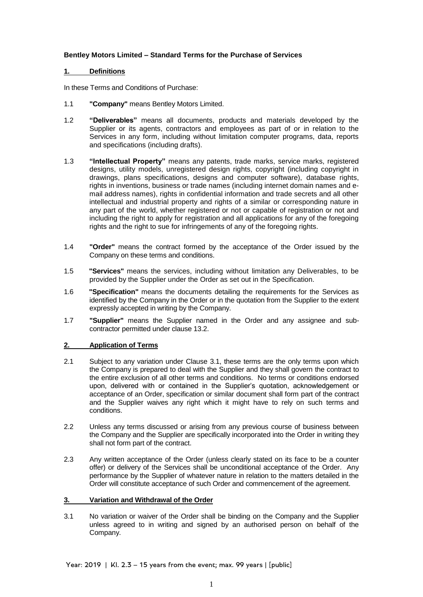## **Bentley Motors Limited – Standard Terms for the Purchase of Services**

## **1. Definitions**

In these Terms and Conditions of Purchase:

- 1.1 **"Company"** means Bentley Motors Limited.
- 1.2 **"Deliverables"** means all documents, products and materials developed by the Supplier or its agents, contractors and employees as part of or in relation to the Services in any form, including without limitation computer programs, data, reports and specifications (including drafts).
- 1.3 **"Intellectual Property"** means any patents, trade marks, service marks, registered designs, utility models, unregistered design rights, copyright (including copyright in drawings, plans specifications, designs and computer software), database rights, rights in inventions, business or trade names (including internet domain names and email address names), rights in confidential information and trade secrets and all other intellectual and industrial property and rights of a similar or corresponding nature in any part of the world, whether registered or not or capable of registration or not and including the right to apply for registration and all applications for any of the foregoing rights and the right to sue for infringements of any of the foregoing rights.
- 1.4 **"Order"** means the contract formed by the acceptance of the Order issued by the Company on these terms and conditions.
- 1.5 **"Services"** means the services, including without limitation any Deliverables, to be provided by the Supplier under the Order as set out in the Specification.
- 1.6 **"Specification"** means the documents detailing the requirements for the Services as identified by the Company in the Order or in the quotation from the Supplier to the extent expressly accepted in writing by the Company.
- 1.7 **"Supplier"** means the Supplier named in the Order and any assignee and subcontractor permitted under clause 13.2.

# **2. Application of Terms**

- 2.1 Subject to any variation under Clause 3.1, these terms are the only terms upon which the Company is prepared to deal with the Supplier and they shall govern the contract to the entire exclusion of all other terms and conditions. No terms or conditions endorsed upon, delivered with or contained in the Supplier's quotation, acknowledgement or acceptance of an Order, specification or similar document shall form part of the contract and the Supplier waives any right which it might have to rely on such terms and conditions.
- 2.2 Unless any terms discussed or arising from any previous course of business between the Company and the Supplier are specifically incorporated into the Order in writing they shall not form part of the contract.
- 2.3 Any written acceptance of the Order (unless clearly stated on its face to be a counter offer) or delivery of the Services shall be unconditional acceptance of the Order. Any performance by the Supplier of whatever nature in relation to the matters detailed in the Order will constitute acceptance of such Order and commencement of the agreement.

#### **3. Variation and Withdrawal of the Order**

3.1 No variation or waiver of the Order shall be binding on the Company and the Supplier unless agreed to in writing and signed by an authorised person on behalf of the Company.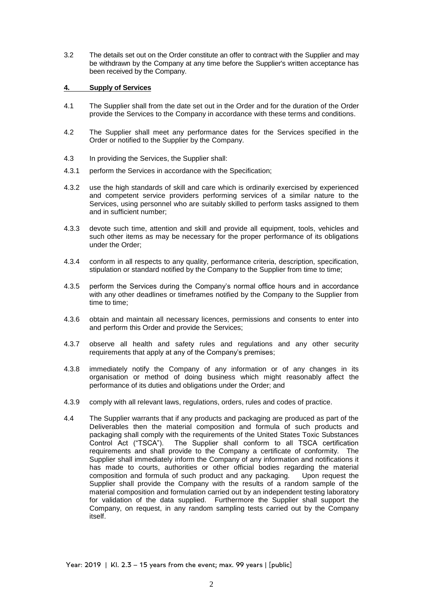3.2 The details set out on the Order constitute an offer to contract with the Supplier and may be withdrawn by the Company at any time before the Supplier's written acceptance has been received by the Company.

#### **4. Supply of Services**

- 4.1 The Supplier shall from the date set out in the Order and for the duration of the Order provide the Services to the Company in accordance with these terms and conditions.
- 4.2 The Supplier shall meet any performance dates for the Services specified in the Order or notified to the Supplier by the Company.
- 4.3 In providing the Services, the Supplier shall:
- 4.3.1 perform the Services in accordance with the Specification;
- 4.3.2 use the high standards of skill and care which is ordinarily exercised by experienced and competent service providers performing services of a similar nature to the Services, using personnel who are suitably skilled to perform tasks assigned to them and in sufficient number;
- 4.3.3 devote such time, attention and skill and provide all equipment, tools, vehicles and such other items as may be necessary for the proper performance of its obligations under the Order;
- 4.3.4 conform in all respects to any quality, performance criteria, description, specification, stipulation or standard notified by the Company to the Supplier from time to time;
- 4.3.5 perform the Services during the Company's normal office hours and in accordance with any other deadlines or timeframes notified by the Company to the Supplier from time to time;
- 4.3.6 obtain and maintain all necessary licences, permissions and consents to enter into and perform this Order and provide the Services;
- 4.3.7 observe all health and safety rules and regulations and any other security requirements that apply at any of the Company's premises;
- 4.3.8 immediately notify the Company of any information or of any changes in its organisation or method of doing business which might reasonably affect the performance of its duties and obligations under the Order; and
- 4.3.9 comply with all relevant laws, regulations, orders, rules and codes of practice.
- 4.4 The Supplier warrants that if any products and packaging are produced as part of the Deliverables then the material composition and formula of such products and packaging shall comply with the requirements of the United States Toxic Substances Control Act ("TSCA"). The Supplier shall conform to all TSCA certification requirements and shall provide to the Company a certificate of conformity. The Supplier shall immediately inform the Company of any information and notifications it has made to courts, authorities or other official bodies regarding the material composition and formula of such product and any packaging. Upon request the Supplier shall provide the Company with the results of a random sample of the material composition and formulation carried out by an independent testing laboratory for validation of the data supplied. Furthermore the Supplier shall support the Company, on request, in any random sampling tests carried out by the Company itself.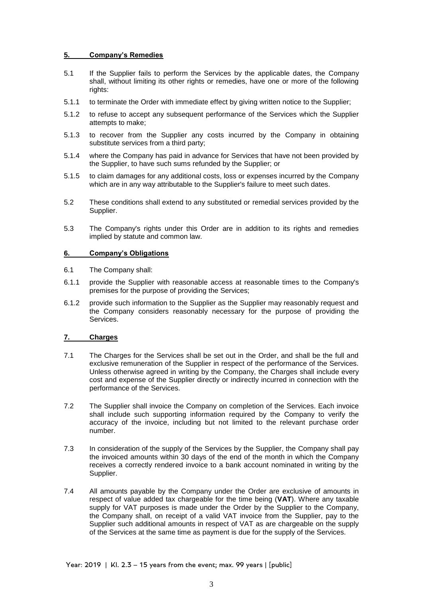## **5. Company's Remedies**

- 5.1 If the Supplier fails to perform the Services by the applicable dates, the Company shall, without limiting its other rights or remedies, have one or more of the following rights:
- 5.1.1 to terminate the Order with immediate effect by giving written notice to the Supplier;
- 5.1.2 to refuse to accept any subsequent performance of the Services which the Supplier attempts to make;
- 5.1.3 to recover from the Supplier any costs incurred by the Company in obtaining substitute services from a third party;
- 5.1.4 where the Company has paid in advance for Services that have not been provided by the Supplier, to have such sums refunded by the Supplier; or
- 5.1.5 to claim damages for any additional costs, loss or expenses incurred by the Company which are in any way attributable to the Supplier's failure to meet such dates.
- 5.2 These conditions shall extend to any substituted or remedial services provided by the Supplier.
- 5.3 The Company's rights under this Order are in addition to its rights and remedies implied by statute and common law.

#### **6. Company's Obligations**

- 6.1 The Company shall:
- 6.1.1 provide the Supplier with reasonable access at reasonable times to the Company's premises for the purpose of providing the Services;
- 6.1.2 provide such information to the Supplier as the Supplier may reasonably request and the Company considers reasonably necessary for the purpose of providing the Services.

## **7. Charges**

- 7.1 The Charges for the Services shall be set out in the Order, and shall be the full and exclusive remuneration of the Supplier in respect of the performance of the Services. Unless otherwise agreed in writing by the Company, the Charges shall include every cost and expense of the Supplier directly or indirectly incurred in connection with the performance of the Services.
- 7.2 The Supplier shall invoice the Company on completion of the Services. Each invoice shall include such supporting information required by the Company to verify the accuracy of the invoice, including but not limited to the relevant purchase order number.
- 7.3 In consideration of the supply of the Services by the Supplier, the Company shall pay the invoiced amounts within 30 days of the end of the month in which the Company receives a correctly rendered invoice to a bank account nominated in writing by the Supplier.
- 7.4 All amounts payable by the Company under the Order are exclusive of amounts in respect of value added tax chargeable for the time being (**VAT**). Where any taxable supply for VAT purposes is made under the Order by the Supplier to the Company, the Company shall, on receipt of a valid VAT invoice from the Supplier, pay to the Supplier such additional amounts in respect of VAT as are chargeable on the supply of the Services at the same time as payment is due for the supply of the Services.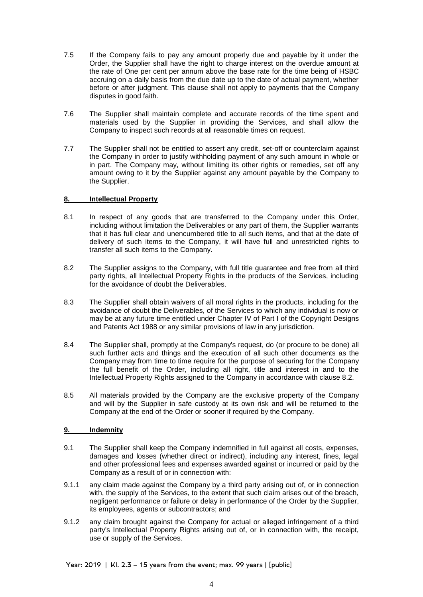- 7.5 If the Company fails to pay any amount properly due and payable by it under the Order, the Supplier shall have the right to charge interest on the overdue amount at the rate of One per cent per annum above the base rate for the time being of HSBC accruing on a daily basis from the due date up to the date of actual payment, whether before or after judgment. This clause shall not apply to payments that the Company disputes in good faith.
- 7.6 The Supplier shall maintain complete and accurate records of the time spent and materials used by the Supplier in providing the Services, and shall allow the Company to inspect such records at all reasonable times on request.
- 7.7 The Supplier shall not be entitled to assert any credit, set-off or counterclaim against the Company in order to justify withholding payment of any such amount in whole or in part. The Company may, without limiting its other rights or remedies, set off any amount owing to it by the Supplier against any amount payable by the Company to the Supplier.

## **8. Intellectual Property**

- 8.1 In respect of any goods that are transferred to the Company under this Order, including without limitation the Deliverables or any part of them, the Supplier warrants that it has full clear and unencumbered title to all such items, and that at the date of delivery of such items to the Company, it will have full and unrestricted rights to transfer all such items to the Company.
- 8.2 The Supplier assigns to the Company, with full title guarantee and free from all third party rights, all Intellectual Property Rights in the products of the Services, including for the avoidance of doubt the Deliverables.
- 8.3 The Supplier shall obtain waivers of all moral rights in the products, including for the avoidance of doubt the Deliverables, of the Services to which any individual is now or may be at any future time entitled under Chapter IV of Part I of the Copyright Designs and Patents Act 1988 or any similar provisions of law in any jurisdiction.
- 8.4 The Supplier shall, promptly at the Company's request, do (or procure to be done) all such further acts and things and the execution of all such other documents as the Company may from time to time require for the purpose of securing for the Company the full benefit of the Order, including all right, title and interest in and to the Intellectual Property Rights assigned to the Company in accordance with clause 8.2.
- 8.5 All materials provided by the Company are the exclusive property of the Company and will by the Supplier in safe custody at its own risk and will be returned to the Company at the end of the Order or sooner if required by the Company.

# **9. Indemnity**

- 9.1 The Supplier shall keep the Company indemnified in full against all costs, expenses, damages and losses (whether direct or indirect), including any interest, fines, legal and other professional fees and expenses awarded against or incurred or paid by the Company as a result of or in connection with:
- 9.1.1 any claim made against the Company by a third party arising out of, or in connection with, the supply of the Services, to the extent that such claim arises out of the breach, negligent performance or failure or delay in performance of the Order by the Supplier, its employees, agents or subcontractors; and
- 9.1.2 any claim brought against the Company for actual or alleged infringement of a third party's Intellectual Property Rights arising out of, or in connection with, the receipt, use or supply of the Services.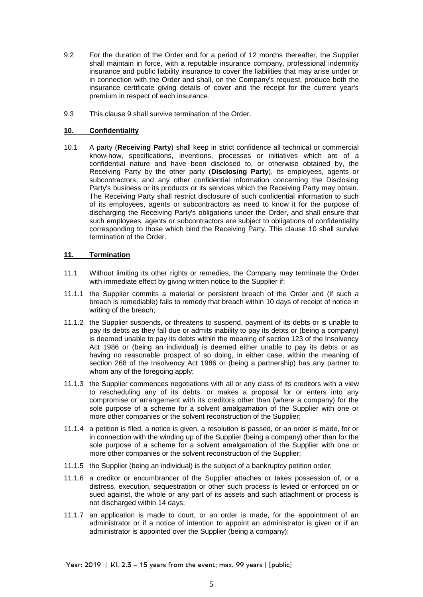- 9.2 For the duration of the Order and for a period of 12 months thereafter, the Supplier shall maintain in force, with a reputable insurance company, professional indemnity insurance and public liability insurance to cover the liabilities that may arise under or in connection with the Order and shall, on the Company's request, produce both the insurance certificate giving details of cover and the receipt for the current year's premium in respect of each insurance.
- 9.3 This clause 9 shall survive termination of the Order.

# **10. Confidentiality**

10.1 A party (**Receiving Party**) shall keep in strict confidence all technical or commercial know-how, specifications, inventions, processes or initiatives which are of a confidential nature and have been disclosed to, or otherwise obtained by, the Receiving Party by the other party (**Disclosing Party**), its employees, agents or subcontractors, and any other confidential information concerning the Disclosing Party's business or its products or its services which the Receiving Party may obtain. The Receiving Party shall restrict disclosure of such confidential information to such of its employees, agents or subcontractors as need to know it for the purpose of discharging the Receiving Party's obligations under the Order, and shall ensure that such employees, agents or subcontractors are subject to obligations of confidentiality corresponding to those which bind the Receiving Party. This clause 10 shall survive termination of the Order.

# **11. Termination**

- 11.1 Without limiting its other rights or remedies, the Company may terminate the Order with immediate effect by giving written notice to the Supplier if:
- 11.1.1 the Supplier commits a material or persistent breach of the Order and (if such a breach is remediable) fails to remedy that breach within 10 days of receipt of notice in writing of the breach;
- 11.1.2 the Supplier suspends, or threatens to suspend, payment of its debts or is unable to pay its debts as they fall due or admits inability to pay its debts or (being a company) is deemed unable to pay its debts within the meaning of section 123 of the Insolvency Act 1986 or (being an individual) is deemed either unable to pay its debts or as having no reasonable prospect of so doing, in either case, within the meaning of section 268 of the Insolvency Act 1986 or (being a partnership) has any partner to whom any of the foregoing apply;
- 11.1.3 the Supplier commences negotiations with all or any class of its creditors with a view to rescheduling any of its debts, or makes a proposal for or enters into any compromise or arrangement with its creditors other than (where a company) for the sole purpose of a scheme for a solvent amalgamation of the Supplier with one or more other companies or the solvent reconstruction of the Supplier;
- 11.1.4 a petition is filed, a notice is given, a resolution is passed, or an order is made, for or in connection with the winding up of the Supplier (being a company) other than for the sole purpose of a scheme for a solvent amalgamation of the Supplier with one or more other companies or the solvent reconstruction of the Supplier;
- 11.1.5 the Supplier (being an individual) is the subject of a bankruptcy petition order;
- 11.1.6 a creditor or encumbrancer of the Supplier attaches or takes possession of, or a distress, execution, sequestration or other such process is levied or enforced on or sued against, the whole or any part of its assets and such attachment or process is not discharged within 14 days;
- 11.1.7 an application is made to court, or an order is made, for the appointment of an administrator or if a notice of intention to appoint an administrator is given or if an administrator is appointed over the Supplier (being a company);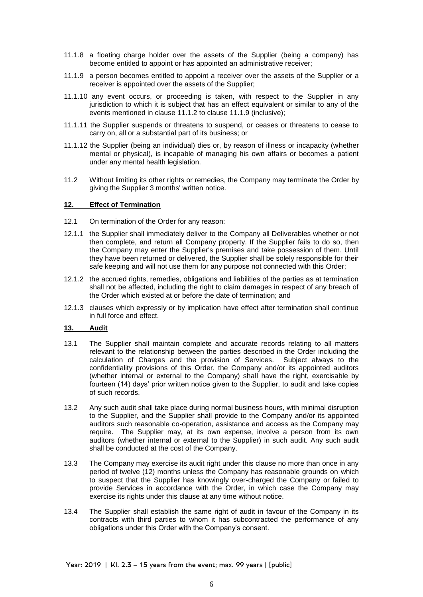- 11.1.8 a floating charge holder over the assets of the Supplier (being a company) has become entitled to appoint or has appointed an administrative receiver;
- 11.1.9 a person becomes entitled to appoint a receiver over the assets of the Supplier or a receiver is appointed over the assets of the Supplier;
- 11.1.10 any event occurs, or proceeding is taken, with respect to the Supplier in any jurisdiction to which it is subject that has an effect equivalent or similar to any of the events mentioned in clause 11.1.2 to clause 11.1.9 (inclusive);
- 11.1.11 the Supplier suspends or threatens to suspend, or ceases or threatens to cease to carry on, all or a substantial part of its business; or
- 11.1.12 the Supplier (being an individual) dies or, by reason of illness or incapacity (whether mental or physical), is incapable of managing his own affairs or becomes a patient under any mental health legislation.
- 11.2 Without limiting its other rights or remedies, the Company may terminate the Order by giving the Supplier 3 months' written notice.

#### **12. Effect of Termination**

- 12.1 On termination of the Order for any reason:
- 12.1.1 the Supplier shall immediately deliver to the Company all Deliverables whether or not then complete, and return all Company property. If the Supplier fails to do so, then the Company may enter the Supplier's premises and take possession of them. Until they have been returned or delivered, the Supplier shall be solely responsible for their safe keeping and will not use them for any purpose not connected with this Order;
- 12.1.2 the accrued rights, remedies, obligations and liabilities of the parties as at termination shall not be affected, including the right to claim damages in respect of any breach of the Order which existed at or before the date of termination; and
- 12.1.3 clauses which expressly or by implication have effect after termination shall continue in full force and effect.

#### **13. Audit**

- 13.1 The Supplier shall maintain complete and accurate records relating to all matters relevant to the relationship between the parties described in the Order including the calculation of Charges and the provision of Services. Subject always to the confidentiality provisions of this Order, the Company and/or its appointed auditors (whether internal or external to the Company) shall have the right, exercisable by fourteen (14) days' prior written notice given to the Supplier, to audit and take copies of such records.
- 13.2 Any such audit shall take place during normal business hours, with minimal disruption to the Supplier, and the Supplier shall provide to the Company and/or its appointed auditors such reasonable co-operation, assistance and access as the Company may require. The Supplier may, at its own expense, involve a person from its own auditors (whether internal or external to the Supplier) in such audit. Any such audit shall be conducted at the cost of the Company.
- 13.3 The Company may exercise its audit right under this clause no more than once in any period of twelve (12) months unless the Company has reasonable grounds on which to suspect that the Supplier has knowingly over-charged the Company or failed to provide Services in accordance with the Order, in which case the Company may exercise its rights under this clause at any time without notice.
- 13.4 The Supplier shall establish the same right of audit in favour of the Company in its contracts with third parties to whom it has subcontracted the performance of any obligations under this Order with the Company's consent.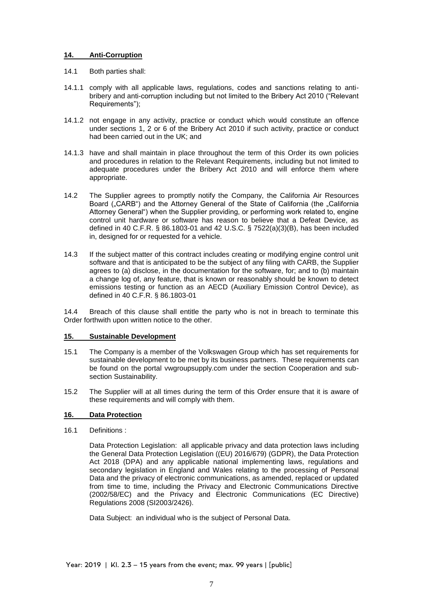## **14. Anti-Corruption**

- 14.1 Both parties shall:
- 14.1.1 comply with all applicable laws, regulations, codes and sanctions relating to antibribery and anti-corruption including but not limited to the Bribery Act 2010 ("Relevant Requirements");
- 14.1.2 not engage in any activity, practice or conduct which would constitute an offence under sections 1, 2 or 6 of the Bribery Act 2010 if such activity, practice or conduct had been carried out in the UK; and
- 14.1.3 have and shall maintain in place throughout the term of this Order its own policies and procedures in relation to the Relevant Requirements, including but not limited to adequate procedures under the Bribery Act 2010 and will enforce them where appropriate.
- 14.2 The Supplier agrees to promptly notify the Company, the California Air Resources Board ("CARB") and the Attorney General of the State of California (the "California Attorney General") when the Supplier providing, or performing work related to, engine control unit hardware or software has reason to believe that a Defeat Device, as defined in 40 C.F.R. § 86.1803-01 and 42 U.S.C. § 7522(a)(3)(B), has been included in, designed for or requested for a vehicle.
- 14.3 If the subject matter of this contract includes creating or modifying engine control unit software and that is anticipated to be the subject of any filing with CARB, the Supplier agrees to (a) disclose, in the documentation for the software, for; and to (b) maintain a change log of, any feature, that is known or reasonably should be known to detect emissions testing or function as an AECD (Auxiliary Emission Control Device), as defined in 40 C.F.R. § 86.1803-01

14.4 Breach of this clause shall entitle the party who is not in breach to terminate this Order forthwith upon written notice to the other.

#### **15. Sustainable Development**

- 15.1 The Company is a member of the Volkswagen Group which has set requirements for sustainable development to be met by its business partners. These requirements can be found on the portal vwgroupsupply.com under the section Cooperation and subsection Sustainability.
- 15.2 The Supplier will at all times during the term of this Order ensure that it is aware of these requirements and will comply with them.

# **16. Data Protection**

16.1 Definitions :

Data Protection Legislation: all applicable privacy and data protection laws including the General Data Protection Legislation ((EU) 2016/679) (GDPR), the Data Protection Act 2018 (DPA) and any applicable national implementing laws, regulations and secondary legislation in England and Wales relating to the processing of Personal Data and the privacy of electronic communications, as amended, replaced or updated from time to time, including the Privacy and Electronic Communications Directive (2002/58/EC) and the Privacy and Electronic Communications (EC Directive) Regulations 2008 (SI2003/2426).

Data Subject: an individual who is the subject of Personal Data.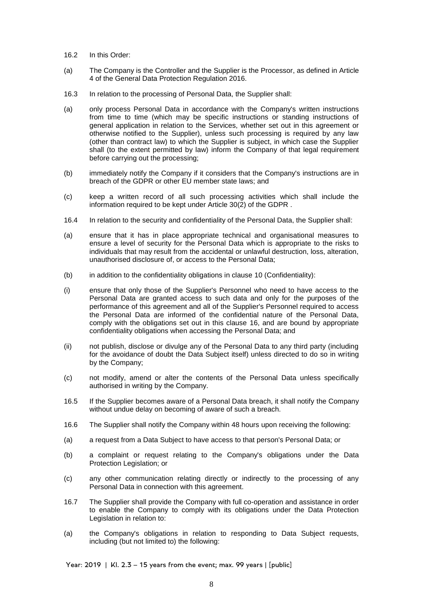- 16.2 In this Order:
- (a) The Company is the Controller and the Supplier is the Processor, as defined in Article 4 of the General Data Protection Regulation 2016.
- 16.3 In relation to the processing of Personal Data, the Supplier shall:
- (a) only process Personal Data in accordance with the Company's written instructions from time to time (which may be specific instructions or standing instructions of general application in relation to the Services, whether set out in this agreement or otherwise notified to the Supplier), unless such processing is required by any law (other than contract law) to which the Supplier is subject, in which case the Supplier shall (to the extent permitted by law) inform the Company of that legal requirement before carrying out the processing;
- (b) immediately notify the Company if it considers that the Company's instructions are in breach of the GDPR or other EU member state laws; and
- (c) keep a written record of all such processing activities which shall include the information required to be kept under Article 30(2) of the GDPR .
- 16.4 In relation to the security and confidentiality of the Personal Data, the Supplier shall:
- (a) ensure that it has in place appropriate technical and organisational measures to ensure a level of security for the Personal Data which is appropriate to the risks to individuals that may result from the accidental or unlawful destruction, loss, alteration, unauthorised disclosure of, or access to the Personal Data;
- (b) in addition to the confidentiality obligations in clause 10 (Confidentiality):
- (i) ensure that only those of the Supplier's Personnel who need to have access to the Personal Data are granted access to such data and only for the purposes of the performance of this agreement and all of the Supplier's Personnel required to access the Personal Data are informed of the confidential nature of the Personal Data, comply with the obligations set out in this clause 16, and are bound by appropriate confidentiality obligations when accessing the Personal Data; and
- (ii) not publish, disclose or divulge any of the Personal Data to any third party (including for the avoidance of doubt the Data Subject itself) unless directed to do so in writing by the Company;
- (c) not modify, amend or alter the contents of the Personal Data unless specifically authorised in writing by the Company.
- 16.5 If the Supplier becomes aware of a Personal Data breach, it shall notify the Company without undue delay on becoming of aware of such a breach.
- 16.6 The Supplier shall notify the Company within 48 hours upon receiving the following:
- (a) a request from a Data Subject to have access to that person's Personal Data; or
- (b) a complaint or request relating to the Company's obligations under the Data Protection Legislation; or
- (c) any other communication relating directly or indirectly to the processing of any Personal Data in connection with this agreement.
- 16.7 The Supplier shall provide the Company with full co-operation and assistance in order to enable the Company to comply with its obligations under the Data Protection Legislation in relation to:
- (a) the Company's obligations in relation to responding to Data Subject requests, including (but not limited to) the following: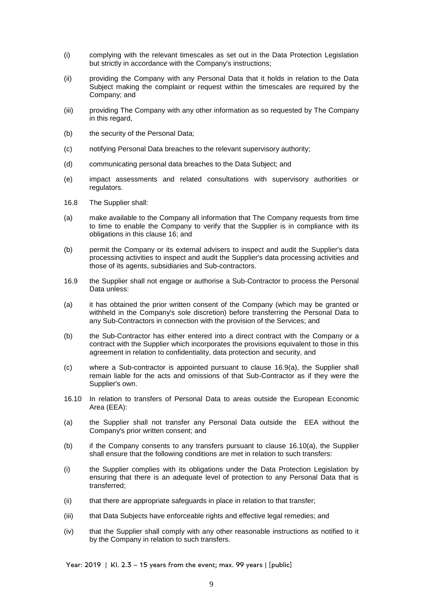- (i) complying with the relevant timescales as set out in the Data Protection Legislation but strictly in accordance with the Company's instructions;
- (ii) providing the Company with any Personal Data that it holds in relation to the Data Subject making the complaint or request within the timescales are required by the Company; and
- (iii) providing The Company with any other information as so requested by The Company in this regard,
- (b) the security of the Personal Data;
- (c) notifying Personal Data breaches to the relevant supervisory authority;
- (d) communicating personal data breaches to the Data Subject; and
- (e) impact assessments and related consultations with supervisory authorities or regulators.
- 16.8 The Supplier shall:
- (a) make available to the Company all information that The Company requests from time to time to enable the Company to verify that the Supplier is in compliance with its obligations in this clause 16; and
- (b) permit the Company or its external advisers to inspect and audit the Supplier's data processing activities to inspect and audit the Supplier's data processing activities and those of its agents, subsidiaries and Sub-contractors.
- 16.9 the Supplier shall not engage or authorise a Sub-Contractor to process the Personal Data unless:
- (a) it has obtained the prior written consent of the Company (which may be granted or withheld in the Company's sole discretion) before transferring the Personal Data to any Sub-Contractors in connection with the provision of the Services; and
- (b) the Sub-Contractor has either entered into a direct contract with the Company or a contract with the Supplier which incorporates the provisions equivalent to those in this agreement in relation to confidentiality, data protection and security, and
- (c) where a Sub-contractor is appointed pursuant to clause 16.9(a), the Supplier shall remain liable for the acts and omissions of that Sub-Contractor as if they were the Supplier's own.
- 16.10 In relation to transfers of Personal Data to areas outside the European Economic Area (EEA):
- (a) the Supplier shall not transfer any Personal Data outside the EEA without the Company's prior written consent; and
- (b) if the Company consents to any transfers pursuant to clause 16.10(a), the Supplier shall ensure that the following conditions are met in relation to such transfers:
- (i) the Supplier complies with its obligations under the Data Protection Legislation by ensuring that there is an adequate level of protection to any Personal Data that is transferred;
- (ii) that there are appropriate safeguards in place in relation to that transfer;
- (iii) that Data Subjects have enforceable rights and effective legal remedies; and
- (iv) that the Supplier shall comply with any other reasonable instructions as notified to it by the Company in relation to such transfers.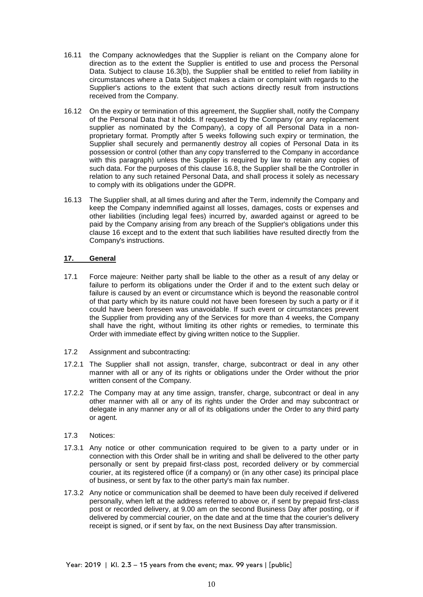- 16.11 the Company acknowledges that the Supplier is reliant on the Company alone for direction as to the extent the Supplier is entitled to use and process the Personal Data. Subject to clause 16.3(b), the Supplier shall be entitled to relief from liability in circumstances where a Data Subject makes a claim or complaint with regards to the Supplier's actions to the extent that such actions directly result from instructions received from the Company.
- 16.12 On the expiry or termination of this agreement, the Supplier shall, notify the Company of the Personal Data that it holds. If requested by the Company (or any replacement supplier as nominated by the Company), a copy of all Personal Data in a nonproprietary format. Promptly after 5 weeks following such expiry or termination, the Supplier shall securely and permanently destroy all copies of Personal Data in its possession or control (other than any copy transferred to the Company in accordance with this paragraph) unless the Supplier is required by law to retain any copies of such data. For the purposes of this clause 16.8, the Supplier shall be the Controller in relation to any such retained Personal Data, and shall process it solely as necessary to comply with its obligations under the GDPR.
- 16.13 The Supplier shall, at all times during and after the Term, indemnify the Company and keep the Company indemnified against all losses, damages, costs or expenses and other liabilities (including legal fees) incurred by, awarded against or agreed to be paid by the Company arising from any breach of the Supplier's obligations under this clause 16 except and to the extent that such liabilities have resulted directly from the Company's instructions.

# **17. General**

- 17.1 Force majeure: Neither party shall be liable to the other as a result of any delay or failure to perform its obligations under the Order if and to the extent such delay or failure is caused by an event or circumstance which is beyond the reasonable control of that party which by its nature could not have been foreseen by such a party or if it could have been foreseen was unavoidable. If such event or circumstances prevent the Supplier from providing any of the Services for more than 4 weeks, the Company shall have the right, without limiting its other rights or remedies, to terminate this Order with immediate effect by giving written notice to the Supplier.
- 17.2 Assignment and subcontracting:
- 17.2.1 The Supplier shall not assign, transfer, charge, subcontract or deal in any other manner with all or any of its rights or obligations under the Order without the prior written consent of the Company.
- 17.2.2 The Company may at any time assign, transfer, charge, subcontract or deal in any other manner with all or any of its rights under the Order and may subcontract or delegate in any manner any or all of its obligations under the Order to any third party or agent.
- 17.3 Notices:
- 17.3.1 Any notice or other communication required to be given to a party under or in connection with this Order shall be in writing and shall be delivered to the other party personally or sent by prepaid first-class post, recorded delivery or by commercial courier, at its registered office (if a company) or (in any other case) its principal place of business, or sent by fax to the other party's main fax number.
- 17.3.2 Any notice or communication shall be deemed to have been duly received if delivered personally, when left at the address referred to above or, if sent by prepaid first-class post or recorded delivery, at 9.00 am on the second Business Day after posting, or if delivered by commercial courier, on the date and at the time that the courier's delivery receipt is signed, or if sent by fax, on the next Business Day after transmission.